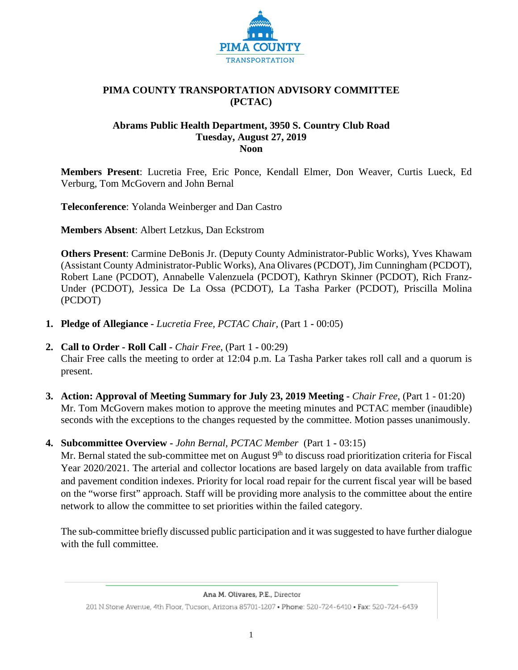

#### **PIMA COUNTY TRANSPORTATION ADVISORY COMMITTEE (PCTAC)**

#### **Abrams Public Health Department, 3950 S. Country Club Road Tuesday, August 27, 2019 Noon**

**Members Present**: Lucretia Free, Eric Ponce, Kendall Elmer, Don Weaver, Curtis Lueck, Ed Verburg, Tom McGovern and John Bernal

**Teleconference**: Yolanda Weinberger and Dan Castro

**Members Absent**: Albert Letzkus, Dan Eckstrom

**Others Present**: Carmine DeBonis Jr. (Deputy County Administrator-Public Works), Yves Khawam (Assistant County Administrator-Public Works), Ana Olivares (PCDOT), Jim Cunningham (PCDOT), Robert Lane (PCDOT), Annabelle Valenzuela (PCDOT), Kathryn Skinner (PCDOT), Rich Franz-Under (PCDOT), Jessica De La Ossa (PCDOT), La Tasha Parker (PCDOT), Priscilla Molina (PCDOT)

- **1. Pledge of Allegiance -** *Lucretia Free, PCTAC Chair,* (Part 1 **-** 00:05)
- **2. Call to Order - Roll Call -** *Chair Free*, (Part 1 **-** 00:29) Chair Free calls the meeting to order at 12:04 p.m. La Tasha Parker takes roll call and a quorum is present.
- **3. Action: Approval of Meeting Summary for July 23, 2019 Meeting -** *Chair Free*, (Part 1 01:20) Mr. Tom McGovern makes motion to approve the meeting minutes and PCTAC member (inaudible) seconds with the exceptions to the changes requested by the committee. Motion passes unanimously.
- **4. Subcommittee Overview -** *John Bernal, PCTAC Member* (Part 1 **-** 03:15)

Mr. Bernal stated the sub-committee met on August 9<sup>th</sup> to discuss road prioritization criteria for Fiscal Year 2020/2021. The arterial and collector locations are based largely on data available from traffic and pavement condition indexes. Priority for local road repair for the current fiscal year will be based on the "worse first" approach. Staff will be providing more analysis to the committee about the entire network to allow the committee to set priorities within the failed category.

The sub-committee briefly discussed public participation and it was suggested to have further dialogue with the full committee.

Ana M. Olivares, P.E., Director 201 N.Stone Avenue, 4th Floor, Tucson, Arizona 85701-1207 . Phone: 520-724-6410 . Fax: 520-724-6439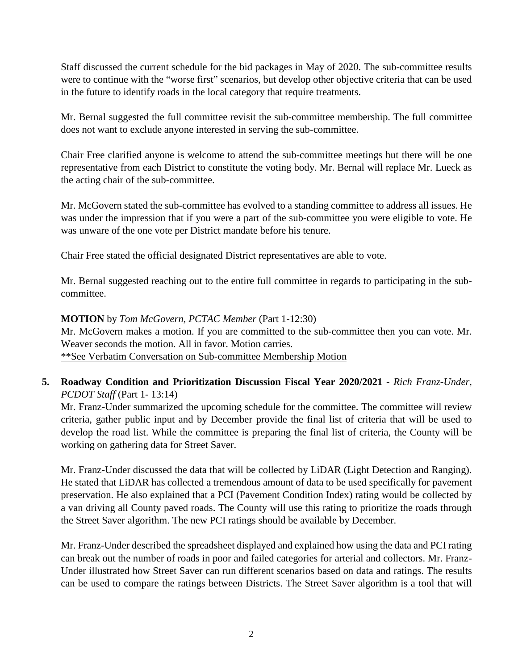Staff discussed the current schedule for the bid packages in May of 2020. The sub-committee results were to continue with the "worse first" scenarios, but develop other objective criteria that can be used in the future to identify roads in the local category that require treatments.

Mr. Bernal suggested the full committee revisit the sub-committee membership. The full committee does not want to exclude anyone interested in serving the sub-committee.

Chair Free clarified anyone is welcome to attend the sub-committee meetings but there will be one representative from each District to constitute the voting body. Mr. Bernal will replace Mr. Lueck as the acting chair of the sub-committee.

Mr. McGovern stated the sub-committee has evolved to a standing committee to address all issues. He was under the impression that if you were a part of the sub-committee you were eligible to vote. He was unware of the one vote per District mandate before his tenure.

Chair Free stated the official designated District representatives are able to vote.

Mr. Bernal suggested reaching out to the entire full committee in regards to participating in the subcommittee.

### **MOTION** by *Tom McGovern, PCTAC Member* (Part 1-12:30)

Mr. McGovern makes a motion. If you are committed to the sub-committee then you can vote. Mr. Weaver seconds the motion. All in favor. Motion carries. \*\*See Verbatim Conversation on Sub-committee Membership Motion

## **5. Roadway Condition and Prioritization Discussion Fiscal Year 2020/2021 -** *Rich Franz-Under, PCDOT Staff* (Part 1-13:14)

Mr. Franz-Under summarized the upcoming schedule for the committee. The committee will review criteria, gather public input and by December provide the final list of criteria that will be used to develop the road list. While the committee is preparing the final list of criteria, the County will be working on gathering data for Street Saver.

Mr. Franz-Under discussed the data that will be collected by LiDAR (Light Detection and Ranging). He stated that LiDAR has collected a tremendous amount of data to be used specifically for pavement preservation. He also explained that a PCI (Pavement Condition Index) rating would be collected by a van driving all County paved roads. The County will use this rating to prioritize the roads through the Street Saver algorithm. The new PCI ratings should be available by December.

Mr. Franz-Under described the spreadsheet displayed and explained how using the data and PCI rating can break out the number of roads in poor and failed categories for arterial and collectors. Mr. Franz-Under illustrated how Street Saver can run different scenarios based on data and ratings. The results can be used to compare the ratings between Districts. The Street Saver algorithm is a tool that will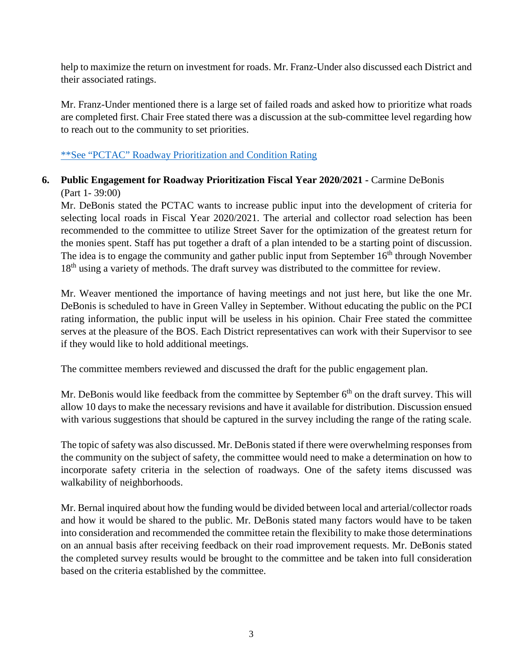help to maximize the return on investment for roads. Mr. Franz-Under also discussed each District and their associated ratings.

Mr. Franz-Under mentioned there is a large set of failed roads and asked how to prioritize what roads are completed first. Chair Free stated there was a discussion at the sub-committee level regarding how to reach out to the community to set priorities.

## \*\*See "PCTAC" [Roadway Prioritization and](http://webcms.pima.gov/UserFiles/Servers/Server_6/File/Government/Transportation/TransportationAdvisoryCommittee/DocumentsTab/Aug27.2019/PCTAC_RWYPrioritizationConditionRatingPresentation_0827.2019.pdf) Condition Rating

# **6. Public Engagement for Roadway Prioritization Fiscal Year 2020/2021 -** Carmine DeBonis (Part 1- 39:00)

Mr. DeBonis stated the PCTAC wants to increase public input into the development of criteria for selecting local roads in Fiscal Year 2020/2021. The arterial and collector road selection has been recommended to the committee to utilize Street Saver for the optimization of the greatest return for the monies spent. Staff has put together a draft of a plan intended to be a starting point of discussion. The idea is to engage the community and gather public input from September  $16<sup>th</sup>$  through November 18<sup>th</sup> using a variety of methods. The draft survey was distributed to the committee for review.

Mr. Weaver mentioned the importance of having meetings and not just here, but like the one Mr. DeBonis is scheduled to have in Green Valley in September. Without educating the public on the PCI rating information, the public input will be useless in his opinion. Chair Free stated the committee serves at the pleasure of the BOS. Each District representatives can work with their Supervisor to see if they would like to hold additional meetings.

The committee members reviewed and discussed the draft for the public engagement plan.

Mr. DeBonis would like feedback from the committee by September  $6<sup>th</sup>$  on the draft survey. This will allow 10 days to make the necessary revisions and have it available for distribution. Discussion ensued with various suggestions that should be captured in the survey including the range of the rating scale.

The topic of safety was also discussed. Mr. DeBonis stated if there were overwhelming responses from the community on the subject of safety, the committee would need to make a determination on how to incorporate safety criteria in the selection of roadways. One of the safety items discussed was walkability of neighborhoods.

Mr. Bernal inquired about how the funding would be divided between local and arterial/collector roads and how it would be shared to the public. Mr. DeBonis stated many factors would have to be taken into consideration and recommended the committee retain the flexibility to make those determinations on an annual basis after receiving feedback on their road improvement requests. Mr. DeBonis stated the completed survey results would be brought to the committee and be taken into full consideration based on the criteria established by the committee.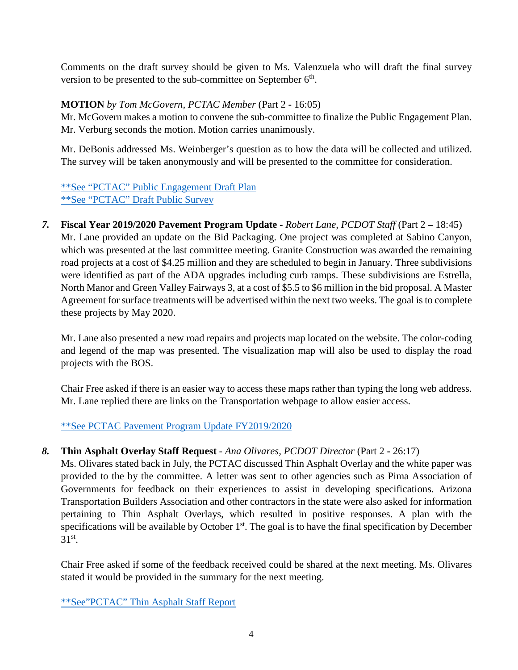Comments on the draft survey should be given to Ms. Valenzuela who will draft the final survey version to be presented to the sub-committee on September  $6<sup>th</sup>$ .

## **MOTION** *by Tom McGovern, PCTAC Member* (Part 2 **-** 16:05)

Mr. McGovern makes a motion to convene the sub-committee to finalize the Public Engagement Plan. Mr. Verburg seconds the motion. Motion carries unanimously.

Mr. DeBonis addressed Ms. Weinberger's question as to how the data will be collected and utilized. The survey will be taken anonymously and will be presented to the committee for consideration.

[\\*\\*See "PCTAC" Public Engagement Draft Plan](http://webcms.pima.gov/UserFiles/Servers/Server_6/File/Government/Transportation/TransportationAdvisoryCommittee/DocumentsTab/Aug27.2019/PCTAC_PublicEngagementDraftPlan.pdf) [\\*\\*See "PCTAC" Draft Public Survey](http://webcms.pima.gov/UserFiles/Servers/Server_6/File/Government/Transportation/TransportationAdvisoryCommittee/DocumentsTab/Aug27.2019/PCTAC_PublicEngagementDraftPlan.pdf)

*7.* **Fiscal Year 2019/2020 Pavement Program Update -** *Robert Lane, PCDOT Staff* (Part 2 **–** 18:45) Mr. Lane provided an update on the Bid Packaging. One project was completed at Sabino Canyon, which was presented at the last committee meeting. Granite Construction was awarded the remaining road projects at a cost of \$4.25 million and they are scheduled to begin in January. Three subdivisions were identified as part of the ADA upgrades including curb ramps. These subdivisions are Estrella, North Manor and Green Valley Fairways 3, at a cost of \$5.5 to \$6 million in the bid proposal. A Master Agreement for surface treatments will be advertised within the next two weeks. The goal is to complete these projects by May 2020.

Mr. Lane also presented a new road repairs and projects map located on the website. The color-coding and legend of the map was presented. The visualization map will also be used to display the road projects with the BOS.

Chair Free asked if there is an easier way to access these maps rather than typing the long web address. Mr. Lane replied there are links on the Transportation webpage to allow easier access.

[\\*\\*See PCTAC Pavement Program Update FY2019/2020](http://webcms.pima.gov/UserFiles/Servers/Server_6/File/Government/Transportation/TransportationAdvisoryCommittee/DocumentsTab/Aug27.2019/PTAC_RoadwayPrioritizationPresentation_20190821.pdf)

## *8.* **Thin Asphalt Overlay Staff Request** - *Ana Olivares, PCDOT Director* (Part 2 **-** 26:17)

Ms. Olivares stated back in July, the PCTAC discussed Thin Asphalt Overlay and the white paper was provided to the by the committee. A letter was sent to other agencies such as Pima Association of Governments for feedback on their experiences to assist in developing specifications. Arizona Transportation Builders Association and other contractors in the state were also asked for information pertaining to Thin Asphalt Overlays, which resulted in positive responses. A plan with the specifications will be available by October 1<sup>st</sup>. The goal is to have the final specification by December  $31<sup>st</sup>$ .

Chair Free asked if some of the feedback received could be shared at the next meeting. Ms. Olivares stated it would be provided in the summary for the next meeting.

[\\*\\*See"PCTAC" Thin Asphalt Staff Report](http://webcms.pima.gov/UserFiles/Servers/Server_6/File/Government/Transportation/TransportationAdvisoryCommittee/DocumentsTab/Aug27.2019/ThinAsphalt_StaffReport_082119ptx.pdf)